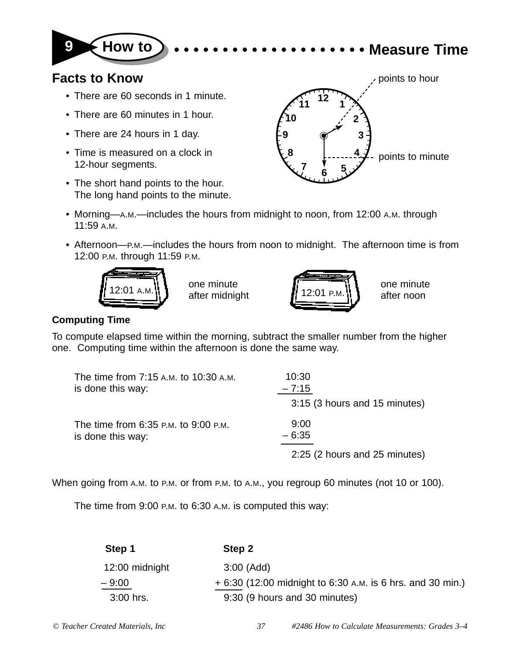

## **9 How to • • • • • • • • • • • • • • • • • • • • Measure Time**

## **Facts to Know**

- There are 60 seconds in 1 minute.
- There are 60 minutes in 1 hour.
- There are 24 hours in 1 day.
- Time is measured on a clock in 12-hour segments.
- The short hand points to the hour. The long hand points to the minute.



- Morning—A.M.—includes the hours from midnight to noon, from 12:00 A.M. through 11:59 A.M.
- Afternoon—P.M.—includes the hours from noon to midnight. The afternoon time is from 12:00 P.M. through 11:59 P.M.



one minute



one minute after noon

## **Computing Time**

To compute elapsed time within the morning, subtract the smaller number from the higher one. Computing time within the afternoon is done the same way.

| The time from 7:15 A.M. to 10:30 A.M. | 10:30                         |
|---------------------------------------|-------------------------------|
| is done this way:                     | $-7:15$                       |
|                                       | 3:15 (3 hours and 15 minutes) |
| The time from 6:35 P.M. to 9:00 P.M.  | 9:00                          |
| is done this way:                     | $-6:35$                       |
|                                       | 2:25 (2 hours and 25 minutes) |

When going from A.M. to P.M. or from P.M. to A.M., you regroup 60 minutes (not 10 or 100).

The time from 9:00 P.M. to 6:30 A.M. is computed this way:

| Step 1         | Step 2                                                     |
|----------------|------------------------------------------------------------|
| 12:00 midnight | $3:00$ (Add)                                               |
| $-9:00$        | + 6:30 (12:00 midnight to 6:30 A.M. is 6 hrs. and 30 min.) |
| $3:00$ hrs.    | 9:30 (9 hours and 30 minutes)                              |